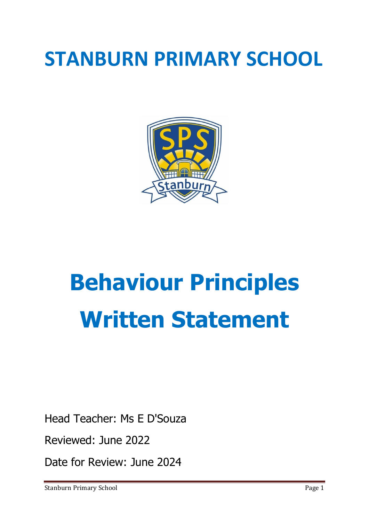## **STANBURN PRIMARY SCHOOL**



# **Behaviour Principles Written Statement**

Head Teacher: Ms E D'Souza

Reviewed: June 2022

Date for Review: June 2024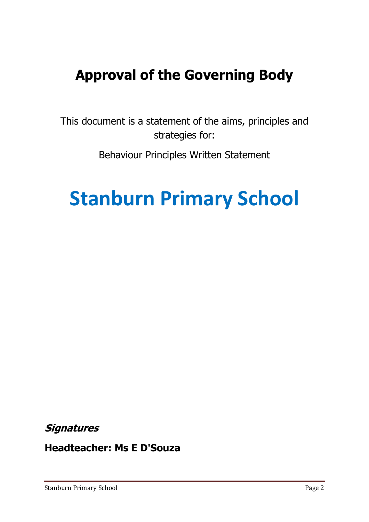### **Approval of the Governing Body**

This document is a statement of the aims, principles and strategies for:

Behaviour Principles Written Statement

### **Stanburn Primary School**

**Signatures**

**Headteacher: Ms E D'Souza**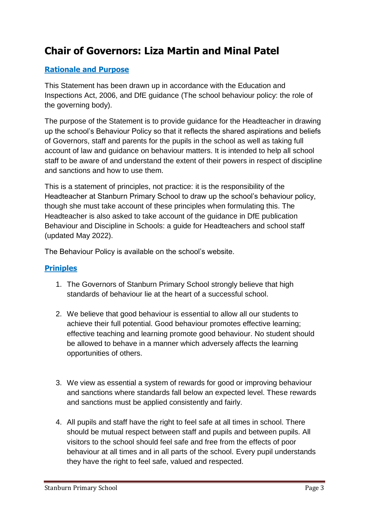### **Chair of Governors: Liza Martin and Minal Patel**

#### **Rationale and Purpose**

This Statement has been drawn up in accordance with the Education and Inspections Act, 2006, and DfE guidance (The school behaviour policy: the role of the governing body).

The purpose of the Statement is to provide guidance for the Headteacher in drawing up the school's Behaviour Policy so that it reflects the shared aspirations and beliefs of Governors, staff and parents for the pupils in the school as well as taking full account of law and guidance on behaviour matters. It is intended to help all school staff to be aware of and understand the extent of their powers in respect of discipline and sanctions and how to use them.

This is a statement of principles, not practice: it is the responsibility of the Headteacher at Stanburn Primary School to draw up the school's behaviour policy, though she must take account of these principles when formulating this. The Headteacher is also asked to take account of the guidance in DfE publication Behaviour and Discipline in Schools: a guide for Headteachers and school staff (updated May 2022).

The Behaviour Policy is available on the school's website.

#### **Priniples**

- 1. The Governors of Stanburn Primary School strongly believe that high standards of behaviour lie at the heart of a successful school.
- 2. We believe that good behaviour is essential to allow all our students to achieve their full potential. Good behaviour promotes effective learning; effective teaching and learning promote good behaviour. No student should be allowed to behave in a manner which adversely affects the learning opportunities of others.
- 3. We view as essential a system of rewards for good or improving behaviour and sanctions where standards fall below an expected level. These rewards and sanctions must be applied consistently and fairly.
- 4. All pupils and staff have the right to feel safe at all times in school. There should be mutual respect between staff and pupils and between pupils. All visitors to the school should feel safe and free from the effects of poor behaviour at all times and in all parts of the school. Every pupil understands they have the right to feel safe, valued and respected.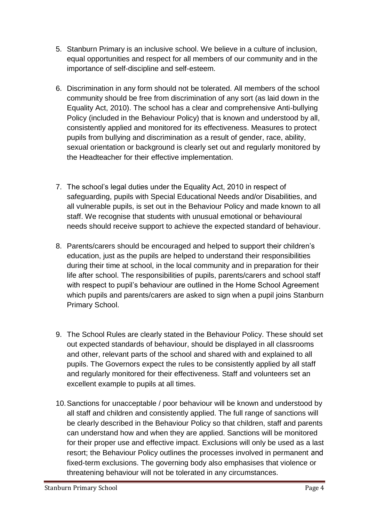- 5. Stanburn Primary is an inclusive school. We believe in a culture of inclusion, equal opportunities and respect for all members of our community and in the importance of self-discipline and self-esteem.
- 6. Discrimination in any form should not be tolerated. All members of the school community should be free from discrimination of any sort (as laid down in the Equality Act, 2010). The school has a clear and comprehensive Anti-bullying Policy (included in the Behaviour Policy) that is known and understood by all, consistently applied and monitored for its effectiveness. Measures to protect pupils from bullying and discrimination as a result of gender, race, ability, sexual orientation or background is clearly set out and regularly monitored by the Headteacher for their effective implementation.
- 7. The school's legal duties under the Equality Act, 2010 in respect of safeguarding, pupils with Special Educational Needs and/or Disabilities, and all vulnerable pupils, is set out in the Behaviour Policy and made known to all staff. We recognise that students with unusual emotional or behavioural needs should receive support to achieve the expected standard of behaviour.
- 8. Parents/carers should be encouraged and helped to support their children's education, just as the pupils are helped to understand their responsibilities during their time at school, in the local community and in preparation for their life after school. The responsibilities of pupils, parents/carers and school staff with respect to pupil's behaviour are outlined in the Home School Agreement which pupils and parents/carers are asked to sign when a pupil joins Stanburn Primary School.
- 9. The School Rules are clearly stated in the Behaviour Policy. These should set out expected standards of behaviour, should be displayed in all classrooms and other, relevant parts of the school and shared with and explained to all pupils. The Governors expect the rules to be consistently applied by all staff and regularly monitored for their effectiveness. Staff and volunteers set an excellent example to pupils at all times.
- 10.Sanctions for unacceptable / poor behaviour will be known and understood by all staff and children and consistently applied. The full range of sanctions will be clearly described in the Behaviour Policy so that children, staff and parents can understand how and when they are applied. Sanctions will be monitored for their proper use and effective impact. Exclusions will only be used as a last resort; the Behaviour Policy outlines the processes involved in permanent and fixed-term exclusions. The governing body also emphasises that violence or threatening behaviour will not be tolerated in any circumstances.